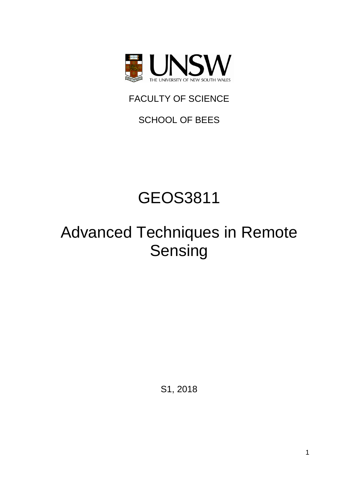

FACULTY OF SCIENCE

SCHOOL OF BEES

# GEOS3811

# Advanced Techniques in Remote Sensing

S1, 2018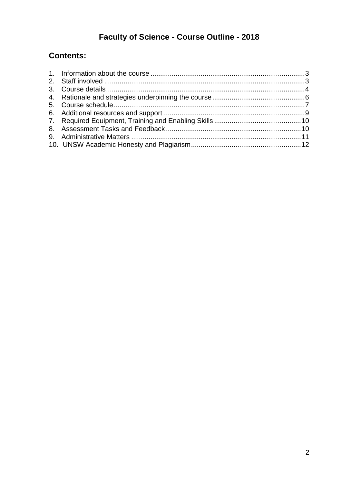# Faculty of Science - Course Outline - 2018

## **Contents:**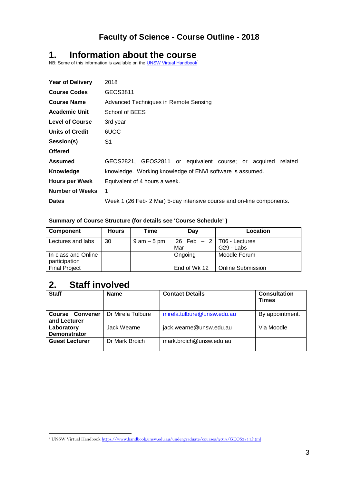### **Faculty of Science - Course Outline - 2018**

### <span id="page-2-0"></span>**1. Information about the course**

NB: Some of this information is available on th[e UNSW Virtual Handbook](https://www.handbook.unsw.edu.au/undergraduate/courses/2018/GEOS3811.html)<sup>1</sup>

| <b>Year of Delivery</b> | 2018                                                                  |  |  |  |
|-------------------------|-----------------------------------------------------------------------|--|--|--|
| <b>Course Codes</b>     | GEOS3811                                                              |  |  |  |
| <b>Course Name</b>      | Advanced Techniques in Remote Sensing                                 |  |  |  |
| <b>Academic Unit</b>    | School of BEES                                                        |  |  |  |
| <b>Level of Course</b>  | 3rd year                                                              |  |  |  |
| <b>Units of Credit</b>  | 6UOC                                                                  |  |  |  |
| Session(s)              | S1                                                                    |  |  |  |
| <b>Offered</b>          |                                                                       |  |  |  |
| Assumed                 | GEOS2821, GEOS2811 or equivalent course; or acquired related          |  |  |  |
| Knowledge               | knowledge. Working knowledge of ENVI software is assumed.             |  |  |  |
| <b>Hours per Week</b>   | Equivalent of 4 hours a week.                                         |  |  |  |
| <b>Number of Weeks</b>  | 1                                                                     |  |  |  |
| <b>Dates</b>            | Week 1 (26 Feb- 2 Mar) 5-day intensive course and on-line components. |  |  |  |
|                         |                                                                       |  |  |  |

#### **Summary of Course Structure (for details see 'Course Schedule' )**

| <b>Component</b>                     | <b>Hours</b> | Time           | Day                                 | Location          |
|--------------------------------------|--------------|----------------|-------------------------------------|-------------------|
| Lectures and labs                    | 30           | $9$ am $-5$ pm | 26 Feb $-2$   T06 - Lectures<br>Mar | G29 - Labs        |
| In-class and Online<br>participation |              |                | Ongoing                             | Moodle Forum      |
| <b>Final Project</b>                 |              |                | End of Wk 12                        | Online Submission |

### <span id="page-2-1"></span>**2. Staff involved**

| <b>Staff</b>                              | <b>Name</b>       | <b>Contact Details</b>     | <b>Consultation</b><br><b>Times</b> |
|-------------------------------------------|-------------------|----------------------------|-------------------------------------|
| Convener<br><b>Course</b><br>and Lecturer | Dr Mirela Tulbure | mirela.tulbure@unsw.edu.au | By appointment.                     |
| Laboratory<br><b>Demonstrator</b>         | Jack Wearne       | jack.wearne@unsw.edu.au    | Via Moodle                          |
| <b>Guest Lecturer</b>                     | Dr Mark Broich    | mark.broich@unsw.edu.au    |                                     |

<sup>&</sup>lt;u>.</u> <sup>1</sup> UNSW Virtual Handbook <https://www.handbook.unsw.edu.au/undergraduate/courses/2018/GEOS3811.html>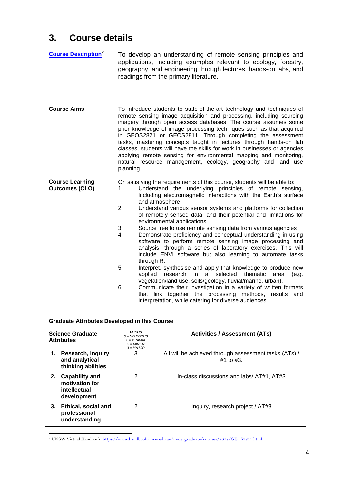# <span id="page-3-0"></span>**3. Course details**

| <b>Course Description</b> <sup>2</sup>          | To develop an understanding of remote sensing principles and<br>applications, including examples relevant to ecology, forestry,<br>geography, and engineering through lectures, hands-on labs, and<br>readings from the primary literature.                                                                                                                                                                                                                                                                                                                                                                                                                                                                                                                                                                                                                                                                                                                                                                                                                                                                                                                                   |
|-------------------------------------------------|-------------------------------------------------------------------------------------------------------------------------------------------------------------------------------------------------------------------------------------------------------------------------------------------------------------------------------------------------------------------------------------------------------------------------------------------------------------------------------------------------------------------------------------------------------------------------------------------------------------------------------------------------------------------------------------------------------------------------------------------------------------------------------------------------------------------------------------------------------------------------------------------------------------------------------------------------------------------------------------------------------------------------------------------------------------------------------------------------------------------------------------------------------------------------------|
| <b>Course Aims</b>                              | To introduce students to state-of-the-art technology and techniques of<br>remote sensing image acquisition and processing, including sourcing<br>imagery through open access databases. The course assumes some<br>prior knowledge of image processing techniques such as that acquired<br>in GEOS2821 or GEOS2811. Through completing the assessment<br>tasks, mastering concepts taught in lectures through hands-on lab<br>classes, students will have the skills for work in businesses or agencies<br>applying remote sensing for environmental mapping and monitoring,<br>natural resource management, ecology, geography and land use<br>planning.                                                                                                                                                                                                                                                                                                                                                                                                                                                                                                                     |
| <b>Course Learning</b><br><b>Outcomes (CLO)</b> | On satisfying the requirements of this course, students will be able to:<br>Understand the underlying principles of remote sensing,<br>1.<br>including electromagnetic interactions with the Earth's surface<br>and atmosphere<br>2.<br>Understand various sensor systems and platforms for collection<br>of remotely sensed data, and their potential and limitations for<br>environmental applications<br>3.<br>Source free to use remote sensing data from various agencies<br>Demonstrate proficiency and conceptual understanding in using<br>4.<br>software to perform remote sensing image processing and<br>analysis, through a series of laboratory exercises. This will<br>include ENVI software but also learning to automate tasks<br>through R.<br>5.<br>Interpret, synthesise and apply that knowledge to produce new<br>selected<br>thematic<br>applied<br>research<br>in.<br>a<br>area<br>(e.g.<br>vegetation/land use, soils/geology, fluvial/marine, urban).<br>6.<br>Communicate their investigation in a variety of written formats<br>that link together the processing methods, results<br>and<br>interpretation, while catering for diverse audiences. |

#### **Graduate Attributes Developed in this Course**

| <b>Science Graduate</b><br><b>Attributes</b> |                                                                        | <b>FOCUS</b><br>$0 = NO$ FOCUS<br>$1 = MINIMAL$<br>$2 = MINOR$<br>$3 = MAJOR$ | <b>Activities / Assessment (ATs)</b>                                    |
|----------------------------------------------|------------------------------------------------------------------------|-------------------------------------------------------------------------------|-------------------------------------------------------------------------|
| 1.                                           | <b>Research, inquiry</b><br>and analytical<br>thinking abilities       | 3                                                                             | All will be achieved through assessment tasks (ATs) /<br>$#1$ to $#3$ . |
| 2.                                           | <b>Capability and</b><br>motivation for<br>intellectual<br>development | 2                                                                             | In-class discussions and labs/ AT#1, AT#3                               |
| 3.                                           | Ethical, social and<br>professional<br>understanding                   | 2                                                                             | Inquiry, research project / AT#3                                        |
|                                              |                                                                        |                                                                               |                                                                         |

<u>.</u> <sup>2</sup> UNSW Virtual Handbook:<https://www.handbook.unsw.edu.au/undergraduate/courses/2018/GEOS3811.html>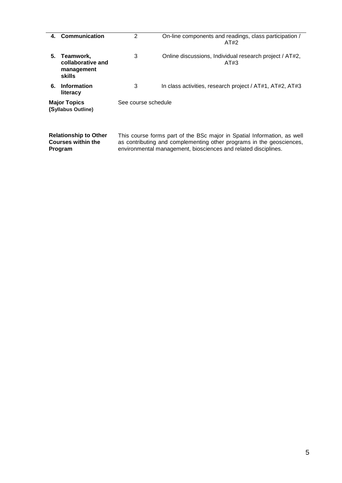|    | 4. Communication                                          | $\overline{2}$      | On-line components and readings, class participation /<br>AT#2                                                                                  |
|----|-----------------------------------------------------------|---------------------|-------------------------------------------------------------------------------------------------------------------------------------------------|
| 5. | Teamwork.<br>collaborative and<br>management<br>skills    | 3                   | Online discussions, Individual research project / AT#2,<br>AT#3                                                                                 |
| 6. | <b>Information</b><br>literacy                            | 3                   | In class activities, research project / AT#1, AT#2, AT#3                                                                                        |
|    | <b>Major Topics</b><br>(Syllabus Outline)                 | See course schedule |                                                                                                                                                 |
|    | <b>Relationship to Other</b><br><b>Courses within the</b> |                     | This course forms part of the BSc major in Spatial Information, as well<br>as contributing and complementing other programs in the geosciences, |

environmental management, biosciences and related disciplines.

**Program**

5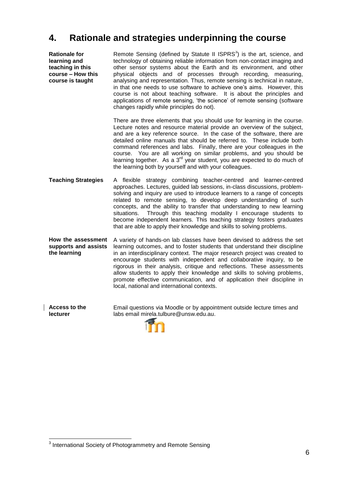### <span id="page-5-0"></span>**4. Rationale and strategies underpinning the course**

**Rationale for learning and teaching in this course – How this course is taught**

Remote Sensing (defined by Statute II  $ISPRS<sup>3</sup>$ ) is the art, science, and technology of obtaining reliable information from non-contact imaging and other sensor systems about the Earth and its environment, and other physical objects and of processes through recording, measuring, analysing and representation. Thus, remote sensing is technical in nature, in that one needs to use software to achieve one's aims. However, this course is not about teaching software. It is about the principles and applications of remote sensing, 'the science' of remote sensing (software changes rapidly while principles do not).

There are three elements that you should use for learning in the course. Lecture notes and resource material provide an overview of the subject, and are a key reference source. In the case of the software, there are detailed online manuals that should be referred to. These include both command references and labs. Finally, there are your colleagues in the course. You are all working on similar problems, and you should be learning together. As a  $3<sup>rd</sup>$  year student, you are expected to do much of the learning both by yourself and with your colleagues.

**Teaching Strategies** A flexible strategy combining teacher-centred and learner-centred approaches. Lectures, guided lab sessions, in-class discussions, problemsolving and inquiry are used to introduce learners to a range of concepts related to remote sensing, to develop deep understanding of such concepts, and the ability to transfer that understanding to new learning<br>situations. Through this teaching modality I encourage students to Through this teaching modality I encourage students to become independent learners. This teaching strategy fosters graduates that are able to apply their knowledge and skills to solving problems.

**How the assessment supports and assists the learning**  A variety of hands-on lab classes have been devised to address the set learning outcomes, and to foster students that understand their discipline in an interdisciplinary context. The major research project was created to encourage students with independent and collaborative inquiry, to be rigorous in their analysis, critique and reflections. These assessments allow students to apply their knowledge and skills to solving problems, promote effective communication, and of application their discipline in local, national and international contexts.

**Access to the lecturer** Email questions via Moodle or by appointment outside lecture times and labs email mirela.tulbure@unsw.edu.au.



1

<sup>&</sup>lt;sup>3</sup> International Society of Photogrammetry and Remote Sensing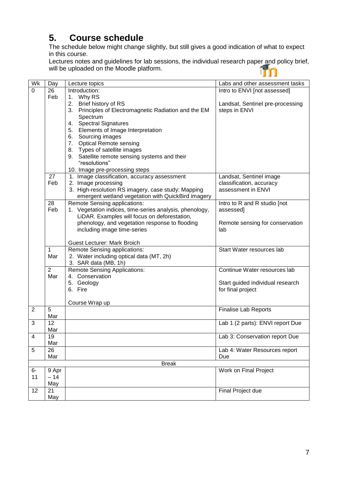# <span id="page-6-0"></span>**5. Course schedule**

The schedule below might change slightly, but still gives a good indication of what to expect in this course.

Lectures notes and guidelines for lab sessions, the individual research paper and policy brief, will be uploaded on the Moodle platform.

| Wk             | Day            | Lecture topics                                            | Labs and other assessment tasks  |
|----------------|----------------|-----------------------------------------------------------|----------------------------------|
| 0              | 26             | Introduction:                                             | Intro to ENVI [not assessed]     |
|                | Feb            | 1. Why RS                                                 |                                  |
|                |                | 2. Brief history of RS                                    | Landsat, Sentinel pre-processing |
|                |                | 3. Principles of Electromagnetic Radiation and the EM     | steps in ENVI                    |
|                |                | Spectrum                                                  |                                  |
|                |                | 4. Spectral Signatures                                    |                                  |
|                |                | 5. Elements of Image Interpretation                       |                                  |
|                |                | 6. Sourcing images                                        |                                  |
|                |                | 7. Optical Remote sensing<br>8. Types of satellite images |                                  |
|                |                | 9. Satellite remote sensing systems and their             |                                  |
|                |                | "resolutions"                                             |                                  |
|                |                | 10. Image pre-processing steps                            |                                  |
|                | 27             | 1. Image classification, accuracy assessment              | Landsat, Sentinel image          |
|                | Feb            | 2. Image processing                                       | classification, accuracy         |
|                |                | 3. High-resolution RS imagery, case study: Mapping        | assessment in ENVI               |
|                |                | emergent wetland vegetation with QuickBird imagery        |                                  |
|                | 28             | Remote Sensing applications:                              | Intro to R and R studio [not     |
|                | Feb            | 1. Vegetation indices, time-series analysis, phenology,   | assessed]                        |
|                |                | LiDAR. Examples will focus on deforestation,              |                                  |
|                |                | phenology, and vegetation response to flooding            | Remote sensing for conservation  |
|                |                | including image time-series                               | lab                              |
|                |                | <b>Guest Lecturer: Mark Broich</b>                        |                                  |
|                | 1              | Remote Sensing applications:                              | Start Water resources lab        |
|                | Mar            | 2. Water including optical data (MT, 2h)                  |                                  |
|                |                | 3. SAR data (MB, 1h)                                      |                                  |
|                | $\overline{2}$ | <b>Remote Sensing Applications:</b>                       | Continue Water resources lab     |
|                | Mar            | 4. Conservation                                           |                                  |
|                |                | 5. Geology                                                | Start guided individual research |
|                |                | 6. Fire                                                   | for final project                |
|                |                |                                                           |                                  |
|                |                | Course Wrap up                                            |                                  |
| $\overline{2}$ | 5              |                                                           | <b>Finalise Lab Reports</b>      |
|                | Mar            |                                                           |                                  |
| 3              | 12             |                                                           | Lab 1 (2 parts): ENVI report Due |
|                | Mar<br>19      |                                                           |                                  |
| 4              | Mar            |                                                           | Lab 3: Conservation report Due   |
| 5              | 26             |                                                           | Lab 4: Water Resources report    |
|                | Mar            |                                                           | Due                              |
|                |                | <b>Break</b>                                              |                                  |
| $6-$           | 9 Apr          |                                                           | Work on Final Project            |
| 11             | $-14$          |                                                           |                                  |
|                | May            |                                                           |                                  |
| 12             | 21             |                                                           | Final Project due                |
|                | May            |                                                           |                                  |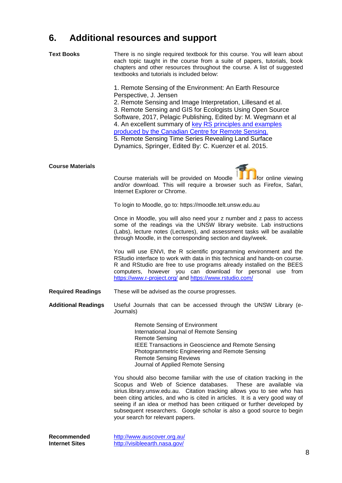# <span id="page-7-0"></span>**6. Additional resources and support**

| Text Books                           | There is no single required textbook for this course. You will learn about<br>each topic taught in the course from a suite of papers, tutorials, book<br>chapters and other resources throughout the course. A list of suggested<br>textbooks and tutorials is included below:<br>1. Remote Sensing of the Environment: An Earth Resource<br>Perspective, J. Jensen<br>2. Remote Sensing and Image Interpretation, Lillesand et al.<br>3. Remote Sensing and GIS for Ecologists Using Open Source<br>Software, 2017, Pelagic Publishing, Edited by: M. Wegmann et al<br>4. An excellent summary of key RS principles and examples<br>produced by the Canadian Centre for Remote Sensing.<br>5. Remote Sensing Time Series Revealing Land Surface<br>Dynamics, Springer, Edited By: C. Kuenzer et al. 2015. |
|--------------------------------------|------------------------------------------------------------------------------------------------------------------------------------------------------------------------------------------------------------------------------------------------------------------------------------------------------------------------------------------------------------------------------------------------------------------------------------------------------------------------------------------------------------------------------------------------------------------------------------------------------------------------------------------------------------------------------------------------------------------------------------------------------------------------------------------------------------|
| <b>Course Materials</b>              | for online viewing<br>Course materials will be provided on Moodle<br>and/or download. This will require a browser such as Firefox, Safari,<br>Internet Explorer or Chrome.                                                                                                                                                                                                                                                                                                                                                                                                                                                                                                                                                                                                                                 |
|                                      | To login to Moodle, go to: https://moodle.telt.unsw.edu.au                                                                                                                                                                                                                                                                                                                                                                                                                                                                                                                                                                                                                                                                                                                                                 |
|                                      | Once in Moodle, you will also need your z number and z pass to access<br>some of the readings via the UNSW library website. Lab instructions<br>(Labs), lecture notes (Lectures), and assessment tasks will be available<br>through Moodle, in the corresponding section and day/week.                                                                                                                                                                                                                                                                                                                                                                                                                                                                                                                     |
|                                      | You will use ENVI, the R scientific programming environment and the<br>RStudio interface to work with data in this technical and hands-on course.<br>R and RStudio are free to use programs already installed on the BEES<br>computers, however you can download for personal use from<br>https://www.r-project.org/ and https://www.rstudio.com/                                                                                                                                                                                                                                                                                                                                                                                                                                                          |
| <b>Required Readings</b>             | These will be advised as the course progresses.                                                                                                                                                                                                                                                                                                                                                                                                                                                                                                                                                                                                                                                                                                                                                            |
| <b>Additional Readings</b>           | Useful Journals that can be accessed through the UNSW Library (e-<br>Journals)                                                                                                                                                                                                                                                                                                                                                                                                                                                                                                                                                                                                                                                                                                                             |
|                                      | <b>Remote Sensing of Environment</b><br>International Journal of Remote Sensing<br><b>Remote Sensing</b><br><b>IEEE Transactions in Geoscience and Remote Sensing</b><br>Photogrammetric Engineering and Remote Sensing<br><b>Remote Sensing Reviews</b><br>Journal of Applied Remote Sensing                                                                                                                                                                                                                                                                                                                                                                                                                                                                                                              |
|                                      | You should also become familiar with the use of citation tracking in the<br>Scopus and Web of Science databases.<br>These are available via<br>sirius.library.unsw.edu.au. Citation tracking allows you to see who has<br>been citing articles, and who is cited in articles. It is a very good way of<br>seeing if an idea or method has been critiqued or further developed by<br>subsequent researchers. Google scholar is also a good source to begin<br>your search for relevant papers.                                                                                                                                                                                                                                                                                                              |
| Recommended<br><b>Internet Sites</b> | http://www.auscover.org.au/<br>http://visibleearth.nasa.gov/                                                                                                                                                                                                                                                                                                                                                                                                                                                                                                                                                                                                                                                                                                                                               |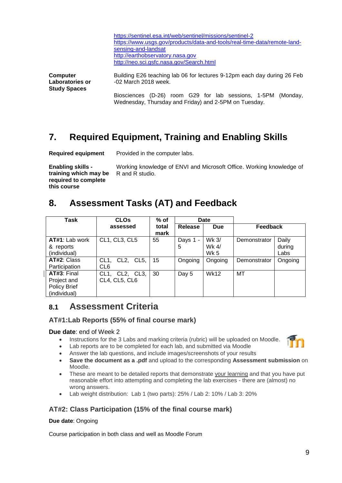| https://sentinel.esa.int/web/sentinel/missions/sentinel-2                |
|--------------------------------------------------------------------------|
| https://www.usgs.gov/products/data-and-tools/real-time-data/remote-land- |
| sensing-and-landsat                                                      |
| http://earthobservatory.nasa.gov                                         |
| http://neo.sci.gsfc.nasa.gov/Search.html                                 |

**Computer Laboratories or Study Spaces** Building E26 teaching lab 06 for lectures 9-12pm each day during 26 Feb -02 March 2018 week.

Biosciences (D-26) room G29 for lab sessions, 1-5PM (Monday, Wednesday, Thursday and Friday) and 2-5PM on Tuesday.

# <span id="page-8-0"></span>**7. Required Equipment, Training and Enabling Skills**

**Required equipment** Provided in the computer labs.

**Enabling skills training which may be required to complete this course**

Working knowledge of ENVI and Microsoft Office. Working knowledge of R and R studio.

# <span id="page-8-1"></span>**8. Assessment Tasks (AT) and Feedback**

| Task                                                              | <b>CLOs</b>                     | $%$ of        | Date          |                               |                 |                         |
|-------------------------------------------------------------------|---------------------------------|---------------|---------------|-------------------------------|-----------------|-------------------------|
|                                                                   | assessed                        | total<br>mark | Release       | <b>Due</b>                    | <b>Feedback</b> |                         |
| AT#1: Lab work<br>& reports<br>(individual)                       | CL1, CL3, CL5                   | 55            | Days 1 -<br>5 | Wk 3/<br>Wk 4/<br><b>Wk 5</b> | Demonstrator    | Daily<br>during<br>Labs |
| AT#2: Class<br>Participation                                      | $CL1$ .<br>CL2, CL5,<br>CL6     | 15            | Ongoing       | Ongoing                       | Demonstrator    | Ongoing                 |
| AT#3: Final<br>Project and<br><b>Policy Brief</b><br>(individual) | CL1, CL2, CL3,<br>CL4, CL5, CL6 | 30            | Day 5         | <b>Wk12</b>                   | MT              |                         |

### <span id="page-8-2"></span>**8.1 Assessment Criteria**

#### **AT#1:Lab Reports (55% of final course mark)**

#### **Due date**: end of Week 2

- Instructions for the 3 Labs and marking criteria (rubric) will be uploaded on Moodle.
- Lab reports are to be completed for each lab, and submitted via Moodle
- Answer the lab questions, and include images/screenshots of your results
- **Save the document as a .pdf** and upload to the corresponding **Assessment submission** on Moodle.
- These are meant to be detailed reports that demonstrate your learning and that you have put reasonable effort into attempting and completing the lab exercises - there are (almost) no wrong answers.
- Lab weight distribution: Lab 1 (two parts): 25% / Lab 2: 10% / Lab 3: 20%

### **AT#2: Class Participation (15% of the final course mark)**

#### **Due date**: Ongoing

Course participation in both class and well as Moodle Forum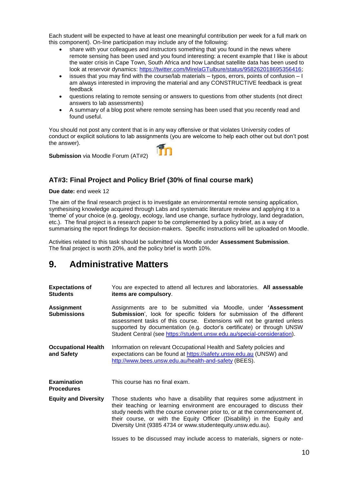Each student will be expected to have at least one meaningful contribution per week for a full mark on this component). On-line participation may include any of the following:

- share with your colleagues and instructors something that you found in the news where remote sensing has been used and you found interesting: a recent example that I like is about the water crisis in Cape Town, South Africa and how Landsat satellite data has been used to look at reservoir dynamics: [https://twitter.com/MirelaGTulbure/status/958262018695356416;](https://twitter.com/MirelaGTulbure/status/958262018695356416)
- issues that you may find with the course/lab materials typos, errors, points of confusion I am always interested in improving the material and any CONSTRUCTIVE feedback is great feedback
- questions relating to remote sensing or answers to questions from other students (not direct answers to lab assessments)
- A summary of a blog post where remote sensing has been used that you recently read and found useful.

You should not post any content that is in any way offensive or that violates University codes of conduct or explicit solutions to lab assignments (you are welcome to help each other out but don't post the answer). **im** 

**Submission** via Moodle Forum (AT#2)

#### **AT#3: Final Project and Policy Brief (30% of final course mark)**

#### **Due date:** end week 12

The aim of the final research project is to investigate an environmental remote sensing application, synthesising knowledge acquired through Labs and systematic literature review and applying it to a 'theme' of your choice (e.g. geology, ecology, land use change, surface hydrology, land degradation, etc.). The final project is a research paper to be complemented by a policy brief, as a way of summarising the report findings for decision-makers. Specific instructions will be uploaded on Moodle.

Activities related to this task should be submitted via Moodle under **Assessment Submission**. The final project is worth 20%, and the policy brief is worth 10%.

### **9. Administrative Matters**

| <b>Expectations of</b><br><b>Students</b> | You are expected to attend all lectures and laboratories. All assessable<br>items are compulsory.                                                                                                                                                                                                                                                                              |
|-------------------------------------------|--------------------------------------------------------------------------------------------------------------------------------------------------------------------------------------------------------------------------------------------------------------------------------------------------------------------------------------------------------------------------------|
| <b>Assignment</b><br><b>Submissions</b>   | Assignments are to be submitted via Moodle, under 'Assessment<br><b>Submission', look for specific folders for submission of the different</b><br>assessment tasks of this course. Extensions will not be granted unless<br>supported by documentation (e.g. doctor's certificate) or through UNSW<br>Student Central (see https://student.unsw.edu.au/special-consideration). |
| <b>Occupational Health</b><br>and Safety  | Information on relevant Occupational Health and Safety policies and<br>expectations can be found at https://safety.unsw.edu.au (UNSW) and<br>http://www.bees.unsw.edu.au/health-and-safety (BEES).                                                                                                                                                                             |
| <b>Examination</b><br><b>Procedures</b>   | This course has no final exam.                                                                                                                                                                                                                                                                                                                                                 |
| <b>Equity and Diversity</b>               | Those students who have a disability that requires some adjustment in<br>their teaching or learning environment are encouraged to discuss their<br>study needs with the course convener prior to, or at the commencement of,<br>their course, or with the Equity Officer (Disability) in the Equity and<br>Diversity Unit (9385 4734 or www.studentequity.unsw.edu.au).        |
|                                           | Issues to be discussed may include access to materials, signers or note-                                                                                                                                                                                                                                                                                                       |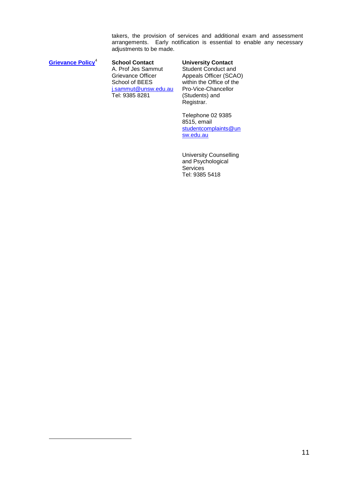takers, the provision of services and additional exam and assessment arrangements. Early notification is essential to enable any necessary adjustments to be made.

**[Grievance Policy](http://www.infonet.unsw.edu.au/poldoc/procedure_researchstudents_grievance.pdf)**<sup>4</sup>

1

**School Contact University Contact** A. Prof Jes Sammut Grievance Officer School of BEES [j.sammut@unsw.edu.au](mailto:j.sammut@unsw.edu.au) Tel: 9385 8281

Student Conduct and Appeals Officer (SCAO) within the Office of the Pro-Vice-Chancellor (Students) and Registrar.

Telephone 02 9385 8515, email [studentcomplaints@un](mailto:studentcomplaints@unsw.edu.au) [sw.edu.au](mailto:studentcomplaints@unsw.edu.au)

University Counselling and Psychological **Services** Tel: 9385 5418